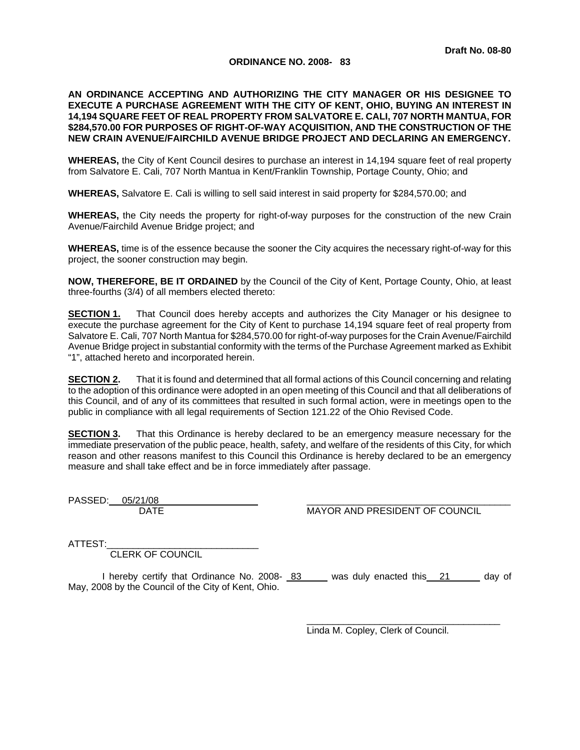## **ORDINANCE NO. 2008- 83**

## **AN ORDINANCE ACCEPTING AND AUTHORIZING THE CITY MANAGER OR HIS DESIGNEE TO EXECUTE A PURCHASE AGREEMENT WITH THE CITY OF KENT, OHIO, BUYING AN INTEREST IN 14,194 SQUARE FEET OF REAL PROPERTY FROM SALVATORE E. CALI, 707 NORTH MANTUA, FOR \$284,570.00 FOR PURPOSES OF RIGHT-OF-WAY ACQUISITION, AND THE CONSTRUCTION OF THE NEW CRAIN AVENUE/FAIRCHILD AVENUE BRIDGE PROJECT AND DECLARING AN EMERGENCY.**

**WHEREAS,** the City of Kent Council desires to purchase an interest in 14,194 square feet of real property from Salvatore E. Cali, 707 North Mantua in Kent/Franklin Township, Portage County, Ohio; and

**WHEREAS,** Salvatore E. Cali is willing to sell said interest in said property for \$284,570.00; and

**WHEREAS,** the City needs the property for right-of-way purposes for the construction of the new Crain Avenue/Fairchild Avenue Bridge project; and

**WHEREAS,** time is of the essence because the sooner the City acquires the necessary right-of-way for this project, the sooner construction may begin.

**NOW, THEREFORE, BE IT ORDAINED** by the Council of the City of Kent, Portage County, Ohio, at least three-fourths (3/4) of all members elected thereto:

**SECTION 1.** That Council does hereby accepts and authorizes the City Manager or his designee to execute the purchase agreement for the City of Kent to purchase 14,194 square feet of real property from Salvatore E. Cali, 707 North Mantua for \$284,570.00 for right-of-way purposes for the Crain Avenue/Fairchild Avenue Bridge project in substantial conformity with the terms of the Purchase Agreement marked as Exhibit "1", attached hereto and incorporated herein.

**SECTION 2.** That it is found and determined that all formal actions of this Council concerning and relating to the adoption of this ordinance were adopted in an open meeting of this Council and that all deliberations of this Council, and of any of its committees that resulted in such formal action, were in meetings open to the public in compliance with all legal requirements of Section 121.22 of the Ohio Revised Code.

**SECTION 3.** That this Ordinance is hereby declared to be an emergency measure necessary for the immediate preservation of the public peace, health, safety, and welfare of the residents of this City, for which reason and other reasons manifest to this Council this Ordinance is hereby declared to be an emergency measure and shall take effect and be in force immediately after passage.

PASSED: 05/21/08

DATE MAYOR AND PRESIDENT OF COUNCIL

ATTEST:

CLERK OF COUNCIL

I hereby certify that Ordinance No. 2008- 83 was duly enacted this 21 day of May, 2008 by the Council of the City of Kent, Ohio.

Linda M. Copley, Clerk of Council.

 $\overline{\phantom{a}}$  ,  $\overline{\phantom{a}}$  ,  $\overline{\phantom{a}}$  ,  $\overline{\phantom{a}}$  ,  $\overline{\phantom{a}}$  ,  $\overline{\phantom{a}}$  ,  $\overline{\phantom{a}}$  ,  $\overline{\phantom{a}}$  ,  $\overline{\phantom{a}}$  ,  $\overline{\phantom{a}}$  ,  $\overline{\phantom{a}}$  ,  $\overline{\phantom{a}}$  ,  $\overline{\phantom{a}}$  ,  $\overline{\phantom{a}}$  ,  $\overline{\phantom{a}}$  ,  $\overline{\phantom{a}}$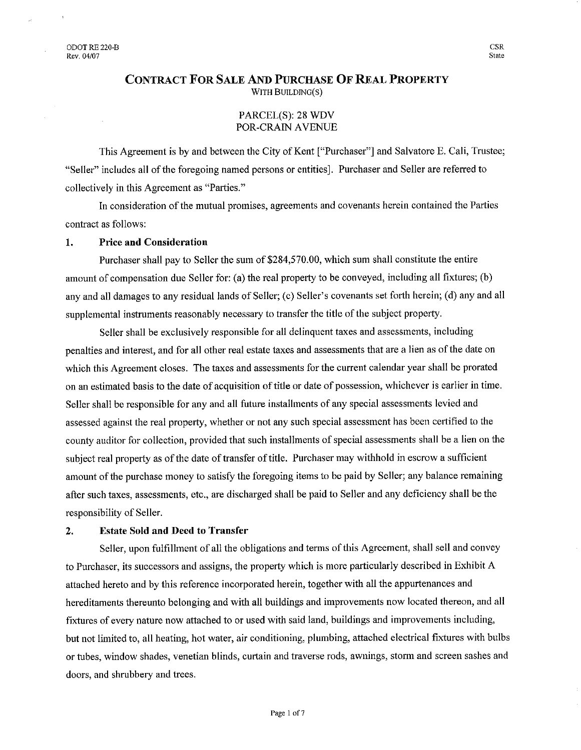# **CONTRACT FOR SALE AND PURCHASE OF REAL PROPERTY** WITH BUILDING(S)

# PARCEL(S): 28 WDV POR-CRAIN AVENUE

This Agreement is by and between the City of Kent ["Purchaser"] and Salvatore E. Cali, Trustee; "Seller" includes all of the foregoing named persons or entities]. Purchaser and Seller are referred to collectively in this Agreement as "Parties."

In consideration of the mutual promises, agreements and covenants herein contained the Parties contract as follows:

#### **Price and Consideration** 1.

Purchaser shall pay to Seller the sum of \$284,570.00, which sum shall constitute the entire amount of compensation due Seller for: (a) the real property to be conveyed, including all fixtures; (b) any and all damages to any residual lands of Seller; (c) Seller's covenants set forth herein; (d) any and all supplemental instruments reasonably necessary to transfer the title of the subject property.

Seller shall be exclusively responsible for all delinquent taxes and assessments, including penalties and interest, and for all other real estate taxes and assessments that are a lien as of the date on which this Agreement closes. The taxes and assessments for the current calendar year shall be prorated on an estimated basis to the date of acquisition of title or date of possession, whichever is earlier in time. Seller shall be responsible for any and all future installments of any special assessments levied and assessed against the real property, whether or not any such special assessment has been certified to the county auditor for collection, provided that such installments of special assessments shall be a lien on the subject real property as of the date of transfer of title. Purchaser may withhold in escrow a sufficient amount of the purchase money to satisfy the foregoing items to be paid by Seller; any balance remaining after such taxes, assessments, etc., are discharged shall be paid to Seller and any deficiency shall be the responsibility of Seller.

#### $\overline{2}$ . **Estate Sold and Deed to Transfer**

Seller, upon fulfillment of all the obligations and terms of this Agreement, shall sell and convey to Purchaser, its successors and assigns, the property which is more particularly described in Exhibit A attached hereto and by this reference incorporated herein, together with all the appurtenances and hereditaments thereunto belonging and with all buildings and improvements now located thereon, and all fixtures of every nature now attached to or used with said land, buildings and improvements including, but not limited to, all heating, hot water, air conditioning, plumbing, attached electrical fixtures with bulbs or tubes, window shades, venetian blinds, curtain and traverse rods, awnings, storm and screen sashes and doors, and shrubbery and trees.

**CSR** State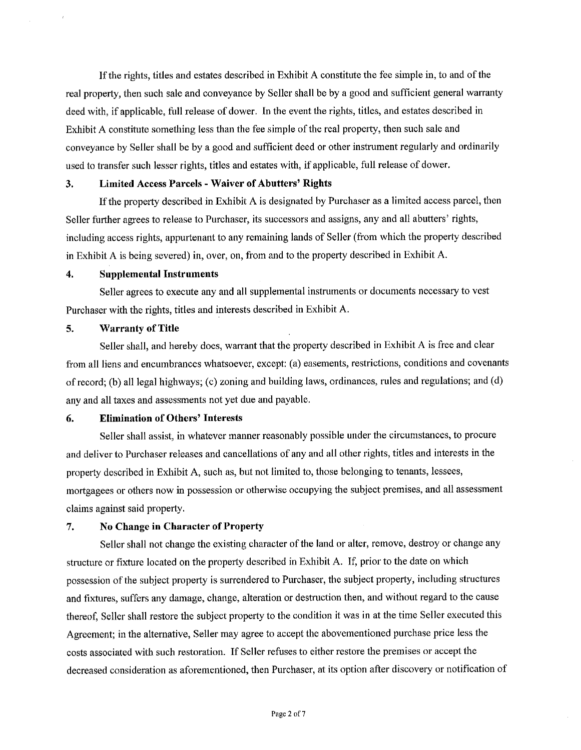If the rights, titles and estates described in Exhibit A constitute the fee simple in, to and of the real property, then such sale and conveyance by Seller shall be by a good and sufficient general warranty deed with, if applicable, full release of dower. In the event the rights, titles, and estates described in Exhibit A constitute something less than the fee simple of the real property, then such sale and conveyance by Seller shall be by a good and sufficient deed or other instrument regularly and ordinarily used to transfer such lesser rights, titles and estates with, if applicable, full release of dower.

#### **Limited Access Parcels - Waiver of Abutters' Rights** 3.

If the property described in Exhibit A is designated by Purchaser as a limited access parcel, then Seller further agrees to release to Purchaser, its successors and assigns, any and all abutters' rights, including access rights, appurtenant to any remaining lands of Seller (from which the property described in Exhibit A is being severed) in, over, on, from and to the property described in Exhibit A.

#### $\overline{4}$ . **Supplemental Instruments**

Seller agrees to execute any and all supplemental instruments or documents necessary to vest Purchaser with the rights, titles and interests described in Exhibit A.

#### 5. **Warranty of Title**

Seller shall, and hereby does, warrant that the property described in Exhibit A is free and clear from all liens and encumbrances whatsoever, except: (a) easements, restrictions, conditions and covenants of record; (b) all legal highways; (c) zoning and building laws, ordinances, rules and regulations; and (d) any and all taxes and assessments not yet due and payable.

#### **Elimination of Others' Interests** 6.

Seller shall assist, in whatever manner reasonably possible under the circumstances, to procure and deliver to Purchaser releases and cancellations of any and all other rights, titles and interests in the property described in Exhibit A, such as, but not limited to, those belonging to tenants, lessees, mortgagees or others now in possession or otherwise occupying the subject premises, and all assessment claims against said property.

#### 7. **No Change in Character of Property**

Seller shall not change the existing character of the land or alter, remove, destroy or change any structure or fixture located on the property described in Exhibit A. If, prior to the date on which possession of the subject property is surrendered to Purchaser, the subject property, including structures and fixtures, suffers any damage, change, alteration or destruction then, and without regard to the cause thereof, Seller shall restore the subject property to the condition it was in at the time Seller executed this Agreement; in the alternative, Seller may agree to accept the abovementioned purchase price less the costs associated with such restoration. If Seller refuses to either restore the premises or accept the decreased consideration as aforementioned, then Purchaser, at its option after discovery or notification of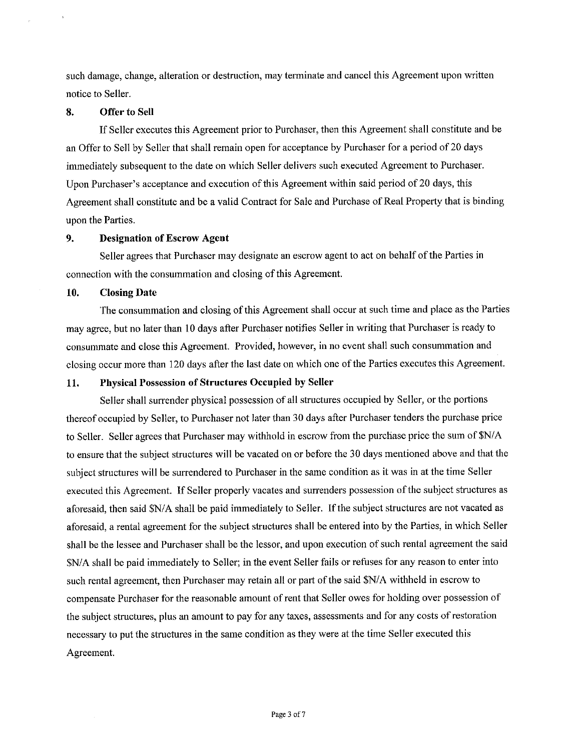such damage, change, alteration or destruction, may terminate and cancel this Agreement upon written notice to Seller.

#### 8. **Offer to Sell**

If Seller executes this Agreement prior to Purchaser, then this Agreement shall constitute and be an Offer to Sell by Seller that shall remain open for acceptance by Purchaser for a period of 20 days immediately subsequent to the date on which Seller delivers such executed Agreement to Purchaser. Upon Purchaser's acceptance and execution of this Agreement within said period of 20 days, this Agreement shall constitute and be a valid Contract for Sale and Purchase of Real Property that is binding upon the Parties.

#### $9<sub>z</sub>$ **Designation of Escrow Agent**

Seller agrees that Purchaser may designate an escrow agent to act on behalf of the Parties in connection with the consummation and closing of this Agreement.

#### 10. **Closing Date**

The consummation and closing of this Agreement shall occur at such time and place as the Parties may agree, but no later than 10 days after Purchaser notifies Seller in writing that Purchaser is ready to consummate and close this Agreement. Provided, however, in no event shall such consummation and closing occur more than 120 days after the last date on which one of the Parties executes this Agreement.

#### Physical Possession of Structures Occupied by Seller 11.

Seller shall surrender physical possession of all structures occupied by Seller, or the portions thereof occupied by Seller, to Purchaser not later than 30 days after Purchaser tenders the purchase price to Seller. Seller agrees that Purchaser may withhold in escrow from the purchase price the sum of \$N/A to ensure that the subject structures will be vacated on or before the 30 days mentioned above and that the subject structures will be surrendered to Purchaser in the same condition as it was in at the time Seller executed this Agreement. If Seller properly vacates and surrenders possession of the subject structures as aforesaid, then said \$N/A shall be paid immediately to Seller. If the subject structures are not vacated as aforesaid, a rental agreement for the subject structures shall be entered into by the Parties, in which Seller shall be the lessee and Purchaser shall be the lessor, and upon execution of such rental agreement the said \$N/A shall be paid immediately to Seller; in the event Seller fails or refuses for any reason to enter into such rental agreement, then Purchaser may retain all or part of the said \$N/A withheld in escrow to compensate Purchaser for the reasonable amount of rent that Seller owes for holding over possession of the subject structures, plus an amount to pay for any taxes, assessments and for any costs of restoration necessary to put the structures in the same condition as they were at the time Seller executed this Agreement.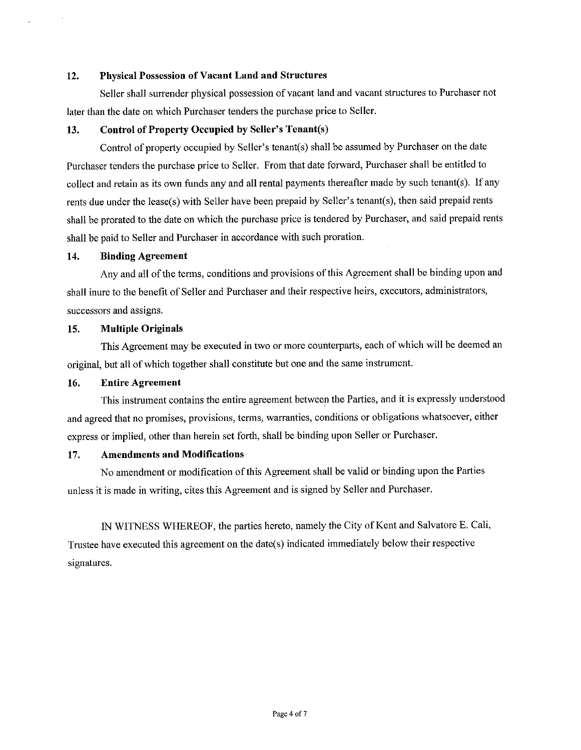#### 12. **Physical Possession of Vacant Land and Structures**

Seller shall surrender physical possession of vacant land and vacant structures to Purchaser not later than the date on which Purchaser tenders the purchase price to Seller.

#### **Control of Property Occupied by Seller's Tenant(s)** 13.

Control of property occupied by Seller's tenant(s) shall be assumed by Purchaser on the date Purchaser tenders the purchase price to Seller. From that date forward, Purchaser shall be entitled to collect and retain as its own funds any and all rental payments thereafter made by such tenant(s). If any rents due under the lease(s) with Seller have been prepaid by Seller's tenant(s), then said prepaid rents shall be prorated to the date on which the purchase price is tendered by Purchaser, and said prepaid rents shall be paid to Seller and Purchaser in accordance with such proration.

#### 14. **Binding Agreement**

Any and all of the terms, conditions and provisions of this Agreement shall be binding upon and shall inure to the benefit of Seller and Purchaser and their respective heirs, executors, administrators, successors and assigns.

#### **Multiple Originals** 15.

This Agreement may be executed in two or more counterparts, each of which will be deemed an original, but all of which together shall constitute but one and the same instrument.

#### **Entire Agreement** 16.

This instrument contains the entire agreement between the Parties, and it is expressly understood and agreed that no promises, provisions, terms, warranties, conditions or obligations whatsoever, either express or implied, other than herein set forth, shall be binding upon Seller or Purchaser.

#### **Amendments and Modifications** 17.

No amendment or modification of this Agreement shall be valid or binding upon the Parties unless it is made in writing, cites this Agreement and is signed by Seller and Purchaser.

IN WITNESS WHEREOF, the parties hereto, namely the City of Kent and Salvatore E. Cali, Trustee have executed this agreement on the date(s) indicated immediately below their respective signatures.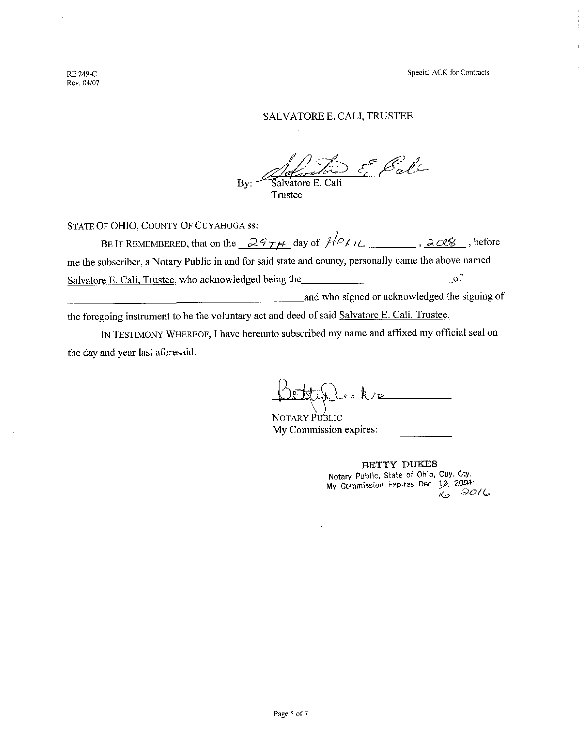**RE 249-C** Rev. 04/07

 $\bar{z}$ 

# SALVATORE E. CALI, TRUSTEE

E Bali  $By:~$ Salvatore E. Cali Trustee

STATE OF OHIO, COUNTY OF CUYAHOGA ss:

| BE IT REMEMBERED, that on the $297H$ day of $HPLU$                                                   | , 2006.                                       | , before |
|------------------------------------------------------------------------------------------------------|-----------------------------------------------|----------|
| me the subscriber, a Notary Public in and for said state and county, personally came the above named |                                               |          |
| Salvatore E. Cali, Trustee, who acknowledged being the                                               | ΩŤ                                            |          |
|                                                                                                      | and who signed or acknowledged the signing of |          |

the foregoing instrument to be the voluntary act and deed of said Salvatore E. Cali, Trustee.

IN TESTIMONY WHEREOF, I have hereunto subscribed my name and affixed my official seal on the day and year last aforesaid.

NOTARY PUBLIC My Commission expires:

BETTY DUKES Notary Public, State of Ohio, Cuy. Cty. My Commission Expires Dec. 12, 2007  $3016$  $\mathcal{K}_{\!\!\mathcal{O}}$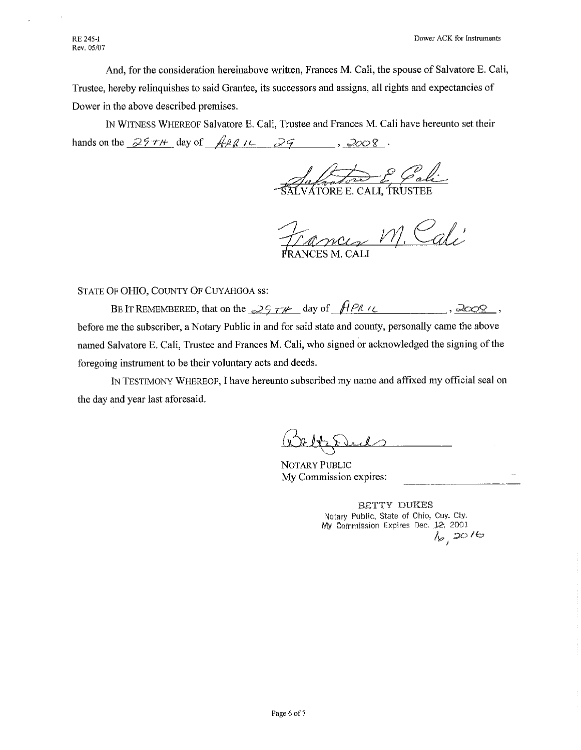And, for the consideration hereinabove written, Frances M. Cali, the spouse of Salvatore E. Cali, Trustee, hereby relinquishes to said Grantee, its successors and assigns, all rights and expectancies of Dower in the above described premises.

IN WITNESS WHEREOF Salvatore E. Cali, Trustee and Frances M. Cali have hereunto set their hands on the  $25 \tau$ / $\mu$  day of  $\pi$ / $26 \mu$  $79$  $2008$ 

ÁTORE E. CALI, TRUSTEI

nces M. Cali (NCES M\_CAL

## STATE OF OHIO, COUNTY OF CUYAHGOA ss:

BE IT REMEMBERED, that on the  $2574$  day of  $\sqrt{198}$  is  $, \partial\!\phi\!\otimes\!\phi$ before me the subscriber, a Notary Public in and for said state and county, personally came the above named Salvatore E. Cali, Trustee and Frances M. Cali, who signed or acknowledged the signing of the foregoing instrument to be their voluntary acts and deeds.

IN TESTIMONY WHEREOF, I have hereunto subscribed my name and affixed my official seal on the day and year last aforesaid.

NOTARY PUBLIC My Commission expires:

BETTY DUKES Notary Public, State of Ohio, Cuy. Cty. My Commission Expires Dec. 12, 2001  $16,2016$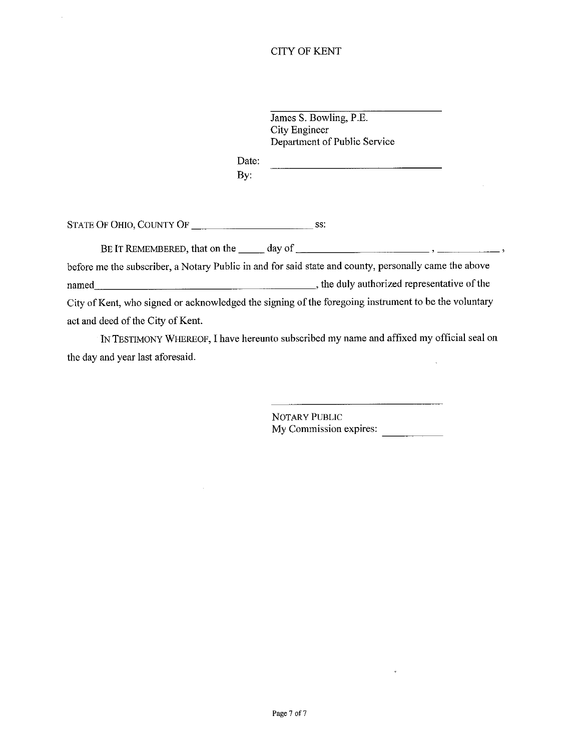James S. Bowling, P.E. City Engineer Department of Public Service

Date: By:

 $\bar{z}$ 

before me the subscriber, a Notary Public in and for said state and county, personally came the above named have not contained the same contained the same contained the same contained the same contained the same contained the same contained the same contained the same contained the same contained the same contained the sam City of Kent, who signed or acknowledged the signing of the foregoing instrument to be the voluntary act and deed of the City of Kent.

IN TESTIMONY WHEREOF, I have hereunto subscribed my name and affixed my official seal on the day and year last aforesaid.  $\bar{\lambda}$ 

> NOTARY PUBLIC My Commission expires: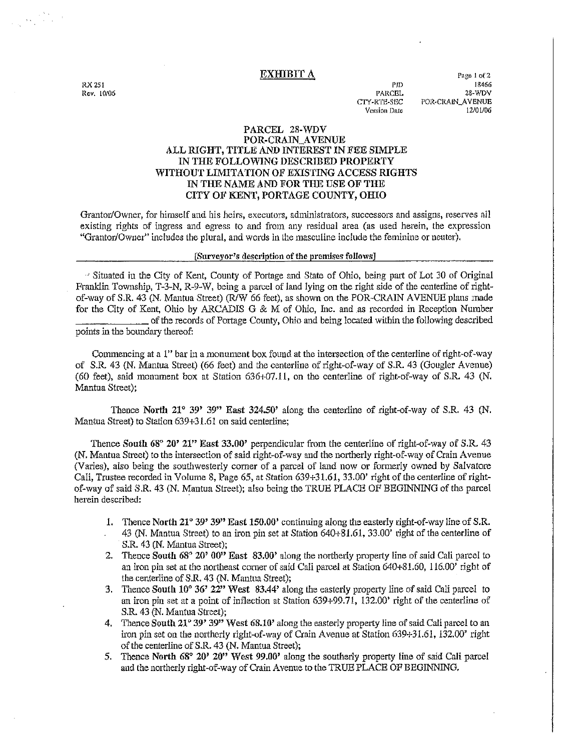### **EXHIBIT A**

RX 251 Rev. 10/06

PID **PARCEL** CTY-RTE-SEC Version Date

Page 1 of 2 18466 28-WDV POR-CRAIN\_AVENUE 12/01/06

## PARCEL 28-WDV POR-CRAIN\_AVENUE ALL RIGHT, TITLE AND INTEREST IN FEE SIMPLE IN THE FOLLOWING DESCRIBED PROPERTY WITHOUT LIMITATION OF EXISTING ACCESS RIGHTS IN THE NAME AND FOR THE USE OF THE CITY OF KENT, PORTAGE COUNTY, OHIO

Grantor/Owner, for himself and his heirs, executors, administrators, successors and assigns, reserves all existing rights of ingress and egress to and from any residual area (as used herein, the expression "Grantor/Owner" includes the plural, and words in the masculine include the feminine or neuter).

### [Surveyor's description of the premises follows]

" Situated in the City of Kent, County of Portage and State of Ohio, being part of Lot 30 of Original Franklin Township, T-3-N, R-9-W, being a parcel of land lying on the right side of the centerline of rightof-way of S.R. 43 (N. Mantua Street) (R/W 66 feet), as shown on the POR-CRAIN AVENUE plans made for the City of Kent, Ohio by ARCADIS G & M of Ohio, Inc. and as recorded in Reception Number of the records of Portage County, Ohio and being located within the following described points in the boundary thereof:

Commencing at a 1" bar in a monument box found at the intersection of the centerline of right-of-way of S.R. 43 (N. Mantua Street) (66 feet) and the centerline of right-of-way of S.R. 43 (Gougler Avenue) (60 feet), said monument box at Station 636+07.11, on the centerline of right-of-way of S.R. 43 (N. Mantua Street):

Thence North 21° 39' 39" East 324.50' along the centerline of right-of-way of S.R. 43 (N. Mantua Street) to Station 639+31.61 on said centerline;

Thence South 68° 20' 21" East 33.00' perpendicular from the centerline of right-of-way of S.R. 43 (N. Mantua Street) to the intersection of said right-of-way and the northerly right-of-way of Crain Avenue (Varies), also being the southwesterly corner of a parcel of land now or formerly owned by Salvatore Cali, Trustee recorded in Volume 8, Page 65, at Station 639+31.61, 33.00' right of the centerline of rightof-way of said S.R. 43 (N. Mantua Street); also being the TRUE PLACE OF BEGINNING of the parcel herein described:

- 1. Thence North  $21^{\circ} 39' 39''$  East 150.00' continuing along the easterly right-of-way line of S.R. 43 (N. Mantua Street) to an iron pin set at Station 640+81.61, 33.00' right of the centerline of S.R. 43 (N. Mantua Street);
- 2. Thence South  $68^{\circ}$  20'  $00^{\prime\prime}$  East 83.00' along the northerly property line of said Cali parcel to an iron pin set at the northeast corner of said Cali parcel at Station 640+81.60, 116.00' right of the centerline of S.R. 43 (N. Mantua Street);
- Thence South  $10^{\circ}$  36' 22" West 83.44' along the easterly property line of said Cali parcel to  $3.$ an iron pin set at a point of inflection at Station 639+99.71, 132.00' right of the centerline of S.R. 43 (N. Mantua Street);
- 4. Thence South 21° 39' 39" West 68.10' along the easterly property line of said Cali parcel to an iron pin set on the northerly right-of-way of Crain Avenue at Station 639+31.61, 132.00' right of the centerline of S.R. 43 (N. Mantua Street);
- 5. Thence North 68° 20' 20" West 99.00' along the southerly property line of said Cali parcel and the northerly right-of-way of Crain Avenue to the TRUE PLACE OF BEGINNING.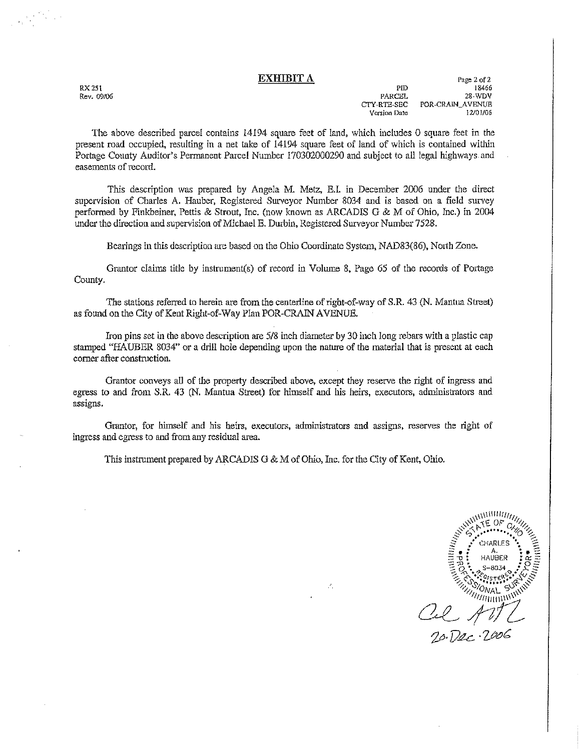### **EXHIBIT A**

RX 251 Rev. 09/06

in yang

Page 2 of 2 PID 18466 **PARCEL** 28-WDV CTY-RTE-SEC POR-CRAIN AVENUE Version Date 12/01/06

The above described parcel contains 14194 square feet of land, which includes 0 square feet in the present road occupied, resulting in a net take of 14194 square feet of land of which is contained within Portage County Auditor's Permanent Parcel Number 170302000290 and subject to all legal highways and easements of record.

This description was prepared by Angela M. Metz, E.I. in December 2006 under the direct supervision of Charles A. Hauber, Registered Surveyor Number 8034 and is based on a field survey performed by Finkbeiner, Pettis & Strout, Inc. (now known as ARCADIS G & M of Ohio, Inc.) in 2004 under the direction and supervision of Michael E. Durbin, Registered Surveyor Number 7528.

Bearings in this description are based on the Ohio Coordinate System, NAD83(86), North Zone.

Grantor claims title by instrument(s) of record in Volume 8, Page 65 of the records of Portage County.

The stations referred to herein are from the centerline of right-of-way of S.R. 43 (N. Mantua Street) as found on the City of Kent Right-of-Way Plan POR-CRAIN AVENUE.

Iron pins set in the above description are 5/8 inch diameter by 30 inch long rebars with a plastic cap stamped "HAUBER 8034" or a drill hole depending upon the nature of the material that is present at each corner after construction.

Grantor conveys all of the property described above, except they reserve the right of ingress and egress to and from S.R. 43 (N. Mantua Street) for himself and his heirs, executors, administrators and assigns.

Grantor, for himself and his heirs, executors, administrators and assigns, reserves the right of ingress and egress to and from any residual area.

 $\mathcal{F}_1$ 

This instrument prepared by ARCADIS G & M of Ohio, Inc. for the City of Kent, Ohio.

www.m awww.com HAURER

20. Dec. 2006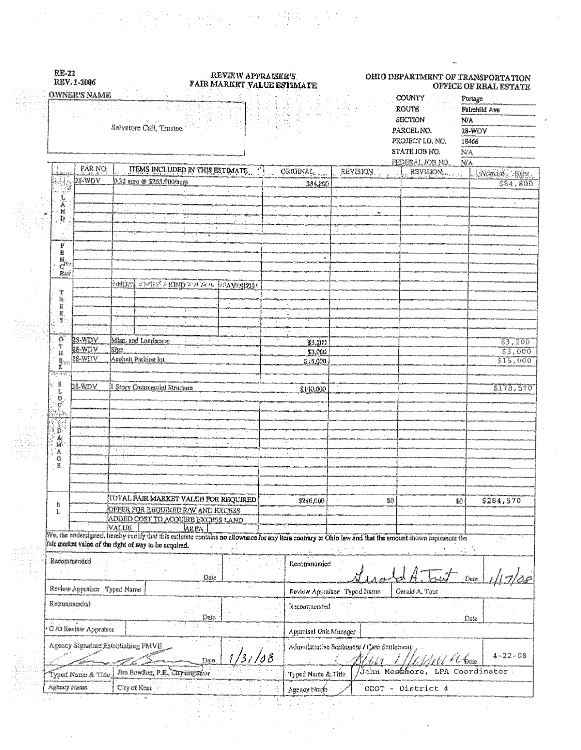|                                                                                 | <b>OWNER'S NAME</b>   | $\sim$ $\sim$<br>Salvatore Call, Trustee                                                                                                                                        | $\mathbb{C} \times \mathbb{C}$ |        | naman wili.<br>NGC 50 MB                                     |                                             | COUNTY<br>ROUTE<br>SECTION<br>PARCEL NO.<br>STATE JOB NO. | PROJECT LD, NO.<br>FEDERAL JOB NO. | Portage<br>ND.<br>28-WDV<br>18466<br>N/A<br>N/A | Fairchild Ave       |
|---------------------------------------------------------------------------------|-----------------------|---------------------------------------------------------------------------------------------------------------------------------------------------------------------------------|--------------------------------|--------|--------------------------------------------------------------|---------------------------------------------|-----------------------------------------------------------|------------------------------------|-------------------------------------------------|---------------------|
|                                                                                 | PAR NO.<br>28-WDV     | ITEMS INCLUDED IN THIS ESTIMATE<br>0.32 acre @ \$265.000/acre                                                                                                                   |                                |        | <b>ORIGINAL</b>                                              | REVISION                                    | e in                                                      | REVISION                           |                                                 | <b>ANDMAL REX.</b>  |
| $\begin{array}{c} \frac{1}{2} \mathbf{1} \\ \frac{1}{2} \mathbf{1} \end{array}$ |                       |                                                                                                                                                                                 |                                |        | 384.800                                                      |                                             |                                                           |                                    |                                                 | \$84, 800           |
| L.<br>A<br>賛                                                                    |                       |                                                                                                                                                                                 |                                |        |                                                              |                                             |                                                           |                                    |                                                 |                     |
| 葜                                                                               |                       | $\sim 3$ .                                                                                                                                                                      | ÷.                             |        |                                                              |                                             |                                                           |                                    |                                                 |                     |
|                                                                                 |                       | ×,                                                                                                                                                                              |                                |        |                                                              |                                             |                                                           |                                    |                                                 |                     |
| 'n,<br>В                                                                        |                       |                                                                                                                                                                                 |                                |        |                                                              |                                             |                                                           |                                    |                                                 |                     |
| N.<br>C<br>松川                                                                   |                       |                                                                                                                                                                                 |                                |        |                                                              |                                             |                                                           |                                    |                                                 |                     |
|                                                                                 |                       | WEBBER & KIND 2011 DE SC. DEPAVERZINS<br>海南的穷                                                                                                                                   |                                |        |                                                              |                                             |                                                           |                                    |                                                 |                     |
| Ŧ<br>$\overline{\mathcal{R}}$                                                   |                       |                                                                                                                                                                                 |                                |        |                                                              |                                             |                                                           |                                    |                                                 |                     |
| Ë<br>E.                                                                         |                       |                                                                                                                                                                                 |                                |        |                                                              |                                             |                                                           |                                    |                                                 |                     |
| S                                                                               |                       | da a sila                                                                                                                                                                       |                                |        | id L                                                         |                                             |                                                           |                                    |                                                 |                     |
| O.<br>Ť                                                                         | 28-WDV<br>28-WDV      | Misc. and Landscape<br>Sian                                                                                                                                                     |                                | M.     | \$3.200                                                      |                                             |                                                           |                                    |                                                 | 33,200              |
| $\mathcal{H}$<br>g.<br>K                                                        | 28-WDV                | Asphalt Parking Int                                                                                                                                                             |                                |        | \$3,000<br>\$15,000                                          |                                             |                                                           |                                    |                                                 | \$3,000<br>\$15,000 |
| न्दे <u>म न स्</u> थ                                                            |                       |                                                                                                                                                                                 |                                |        |                                                              |                                             |                                                           |                                    |                                                 |                     |
| Î<br>Ľ,                                                                         | 28-WDV                | 1 Story Commercial Structure                                                                                                                                                    |                                |        | \$140,000                                                    |                                             |                                                           |                                    |                                                 | 5178,570            |
| D<br>$\mathbb{G}$                                                               |                       |                                                                                                                                                                                 |                                |        |                                                              |                                             |                                                           |                                    |                                                 |                     |
| .<br>Hiptori                                                                    |                       |                                                                                                                                                                                 |                                |        |                                                              |                                             |                                                           |                                    |                                                 |                     |
| $\frac{1}{2}$ $\mathbf{D}$                                                      |                       |                                                                                                                                                                                 |                                |        |                                                              |                                             |                                                           |                                    |                                                 |                     |
| Â.                                                                              | 30 C                  | ŲF                                                                                                                                                                              | $\sim 10$                      |        |                                                              |                                             |                                                           |                                    |                                                 |                     |
| G<br>E.                                                                         |                       | Talla                                                                                                                                                                           |                                | 9 I.I. |                                                              |                                             |                                                           |                                    |                                                 |                     |
|                                                                                 |                       |                                                                                                                                                                                 |                                |        |                                                              |                                             |                                                           |                                    |                                                 |                     |
|                                                                                 |                       |                                                                                                                                                                                 |                                |        |                                                              |                                             |                                                           |                                    |                                                 |                     |
| ß.<br>L.                                                                        |                       | <b>TOTAL PAIR MARKET VALUE FOR REQUIRED</b><br>OFFER FOR REQUIRED RAV AND EXCESS                                                                                                |                                |        | \$246,000                                                    |                                             | \$0                                                       |                                    | \$284,570<br>\$0                                |                     |
|                                                                                 |                       | ADDED COST TO ACQUIRE EXCESS LAND                                                                                                                                               |                                |        |                                                              |                                             |                                                           |                                    |                                                 |                     |
|                                                                                 |                       | VALUE<br><b>AREA</b><br>We, the undersigned, hereby certify that this estimate contains no allowance for any item contrary to Ohio law and that the amount shown represents the |                                |        |                                                              |                                             |                                                           |                                    |                                                 |                     |
|                                                                                 |                       | fair market value of the right of way to be acquired.                                                                                                                           |                                |        |                                                              |                                             |                                                           |                                    |                                                 |                     |
| Recommended                                                                     |                       |                                                                                                                                                                                 |                                |        | Recommended                                                  |                                             |                                                           |                                    |                                                 |                     |
|                                                                                 |                       | Date                                                                                                                                                                            |                                |        |                                                              |                                             |                                                           |                                    | Date                                            |                     |
| Review Appraiser Typed Name<br>Recommended                                      |                       |                                                                                                                                                                                 |                                |        | Review Appraiser Typed Name<br>Ceraid A. Tout<br>Recommended |                                             |                                                           |                                    |                                                 |                     |
|                                                                                 |                       | Date:                                                                                                                                                                           |                                |        |                                                              |                                             |                                                           |                                    | Date                                            |                     |
|                                                                                 | C /O Review Appraiser |                                                                                                                                                                                 |                                |        | Appraisal Unit Manager                                       |                                             |                                                           |                                    |                                                 |                     |
|                                                                                 |                       | Agency Signature Establishing FMVE<br>Date                                                                                                                                      | 131/08                         |        |                                                              | Administrativo Settioment / Cane Settiement |                                                           |                                    | U Taria                                         | $4 - 22 - 08$       |
|                                                                                 | Typed Name & Title    | Jim Bowling, P.E., Cityrongalear                                                                                                                                                |                                |        | Typed Name & Title                                           |                                             |                                                           | Gohn Messmore, LPA Coordinator.    |                                                 |                     |
| Agency Name                                                                     |                       | City of Kent                                                                                                                                                                    |                                |        | Agency Namo                                                  |                                             |                                                           | ODOT - District 4                  |                                                 |                     |
|                                                                                 |                       |                                                                                                                                                                                 |                                |        |                                                              |                                             |                                                           |                                    |                                                 |                     |

 $\label{eq:2.1} \frac{1}{\sqrt{2}}\left(\frac{1}{2}\left(\frac{1}{2}\right)^2\right)^{1/2}\left(\frac{1}{2}\left(\frac{1}{2}\right)^2\right)^{1/2}\left(\frac{1}{2}\left(\frac{1}{2}\right)^2\right)^{1/2}\left(\frac{1}{2}\left(\frac{1}{2}\right)^2\right)^{1/2}\left(\frac{1}{2}\right)^{1/2}\left(\frac{1}{2}\right)^{1/2}\left(\frac{1}{2}\right)^{1/2}\left(\frac{1}{2}\right)^{1/2}\left(\frac{1}{2}\right)^{1/2}\left(\frac{1}{2}\right)^{1/2}\left(\$ 

 $\bar{\beta}$ 

 $\mathcal{L}^{(2)}_{\text{max}}$ 

 $\frac{1}{2} \sum_{i=1}^{n} \frac{1}{2} \sum_{j=1}^{n} \frac{1}{2} \sum_{j=1}^{n} \frac{1}{2} \sum_{j=1}^{n} \frac{1}{2} \sum_{j=1}^{n} \frac{1}{2} \sum_{j=1}^{n} \frac{1}{2} \sum_{j=1}^{n} \frac{1}{2} \sum_{j=1}^{n} \frac{1}{2} \sum_{j=1}^{n} \frac{1}{2} \sum_{j=1}^{n} \frac{1}{2} \sum_{j=1}^{n} \frac{1}{2} \sum_{j=1}^{n} \frac{1}{2} \sum_{j=1}^{n$